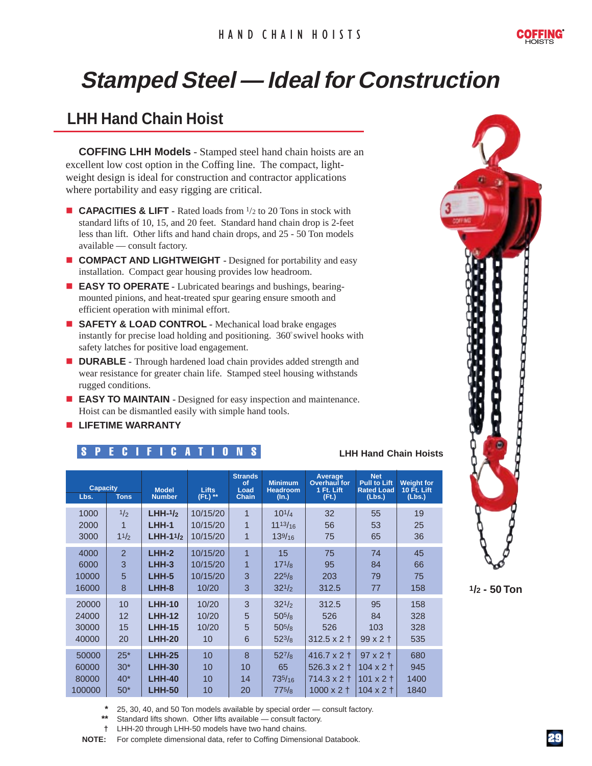

# **Stamped Steel — Ideal for Construction Stamped Steel — Ideal for Construction**

### **LHH Hand Chain Hoist**

**COFFING LHH Models** - Stamped steel hand chain hoists are an excellent low cost option in the Coffing line. The compact, lightweight design is ideal for construction and contractor applications where portability and easy rigging are critical.

- **CAPACITIES & LIFT** Rated loads from <sup>1</sup>/2 to 20 Tons in stock with standard lifts of 10, 15, and 20 feet. Standard hand chain drop is 2-feet less than lift. Other lifts and hand chain drops, and 25 - 50 Ton models available — consult factory.
- **n COMPACT AND LIGHTWEIGHT -** Designed for portability and easy installation. Compact gear housing provides low headroom.
- **EASY TO OPERATE** Lubricated bearings and bushings, bearingmounted pinions, and heat-treated spur gearing ensure smooth and efficient operation with minimal effort.
- **E** SAFETY & LOAD CONTROL Mechanical load brake engages instantly for precise load holding and positioning. 360° swivel hooks with safety latches for positive load engagement.
- **n DURABLE -** Through hardened load chain provides added strength and wear resistance for greater chain life. Stamped steel housing withstands rugged conditions.
- **EASY TO MAINTAIN** Designed for easy inspection and maintenance. Hoist can be dismantled easily with simple hand tools.
- **E** LIFETIME WARRANTY

#### SPECIFICATIONS **LHH Hand Chain Hoists**

| <b>Capacity</b><br>Lbs.<br><b>Tons</b> |                | <b>Model</b><br><b>Number</b> | <b>Lifts</b><br>(Ft.) ** | <b>Strands</b><br>of<br>Load<br><b>Chain</b> | <b>Minimum</b><br><b>Headroom</b><br>(ln.) | Average<br><b>Overhaul</b> for<br>1 Ft. Lift<br>(Ft.) | <b>Net</b><br><b>Pull to Lift</b><br><b>Rated Load</b><br>(Lbs.) | <b>Weight for</b><br><b>10 Ft. Lift</b><br>(Lbs.) |
|----------------------------------------|----------------|-------------------------------|--------------------------|----------------------------------------------|--------------------------------------------|-------------------------------------------------------|------------------------------------------------------------------|---------------------------------------------------|
| 1000                                   | 1/2            | $LHH-1/2$                     | 10/15/20                 | $\overline{1}$                               | $10^{1/4}$                                 | 32                                                    | 55                                                               | 19                                                |
| 2000                                   | 1              | LHH-1                         | 10/15/20                 | $\overline{1}$                               | $11^{13/16}$                               | 56                                                    | 53                                                               | 25                                                |
| 3000                                   | 11/2           | $LHH-11/2$                    | 10/15/20                 | 1                                            | 139/16                                     | 75                                                    | 65                                                               | 36                                                |
| 4000                                   | $\overline{2}$ | $LHH-2$                       | 10/15/20                 | $\overline{1}$                               | 15                                         | 75                                                    | 74                                                               | 45                                                |
| 6000                                   | 3              | $LHH-3$                       | 10/15/20                 | 1                                            | $17^{1/8}$                                 | 95                                                    | 84                                                               | 66                                                |
| 10000                                  | 5              | LHH-5                         | 10/15/20                 | 3                                            | $22^{5}/8$                                 | 203                                                   | 79                                                               | 75                                                |
| 16000                                  | 8              | LHH-8                         | 10/20                    | 3                                            | $32^{1/2}$                                 | 312.5                                                 | 77                                                               | 158                                               |
| 20000                                  | 10             | <b>LHH-10</b>                 | 10/20                    | 3                                            | $32^{1/2}$                                 | 312.5                                                 | 95                                                               | 158                                               |
| 24000                                  | 12             | <b>LHH-12</b>                 | 10/20                    | 5                                            | $50^{5}/\mathrm{s}$                        | 526                                                   | 84                                                               | 328                                               |
| 30000                                  | 15             | <b>LHH-15</b>                 | 10/20                    | 5                                            | $50^{5}/\mathrm{s}$                        | 526                                                   | 103                                                              | 328                                               |
| 40000                                  | 20             | <b>LHH-20</b>                 | 10                       | 6                                            | $52^{3}/8$                                 | $312.5 \times 2 +$                                    | $99x2$ †                                                         | 535                                               |
| 50000                                  | $25*$          | <b>LHH-25</b>                 | 10                       | $\overline{8}$                               | $52^{7}/8$                                 | $416.7 \times 2 +$                                    | $97 \times 2 \pm$                                                | 680                                               |
| 60000                                  | $30*$          | <b>LHH-30</b>                 | 10                       | 10                                           | 65                                         | $526.3 \times 2 +$                                    | $104 \times 2 +$                                                 | 945                                               |
| 80000                                  | $40*$          | <b>LHH-40</b>                 | 10                       | 14                                           | 735/16                                     | $714.3 \times 2 +$                                    | $101 \times 2 +$                                                 | 1400                                              |
| 100000                                 | $50*$          | <b>LHH-50</b>                 | 10                       | 20                                           | 775/s                                      | $1000 \times 2 +$                                     | $104 \times 2 +$                                                 | 1840                                              |

**\*** 25, 30, 40, and 50 Ton models available by special order — consult factory.

Standard lifts shown. Other lifts available — consult factory.

**†** LHH-20 through LHH-50 models have two hand chains.

**NOTE:** For complete dimensional data, refer to Coffing Dimensional Databook.



**1/2 - 50 Ton**